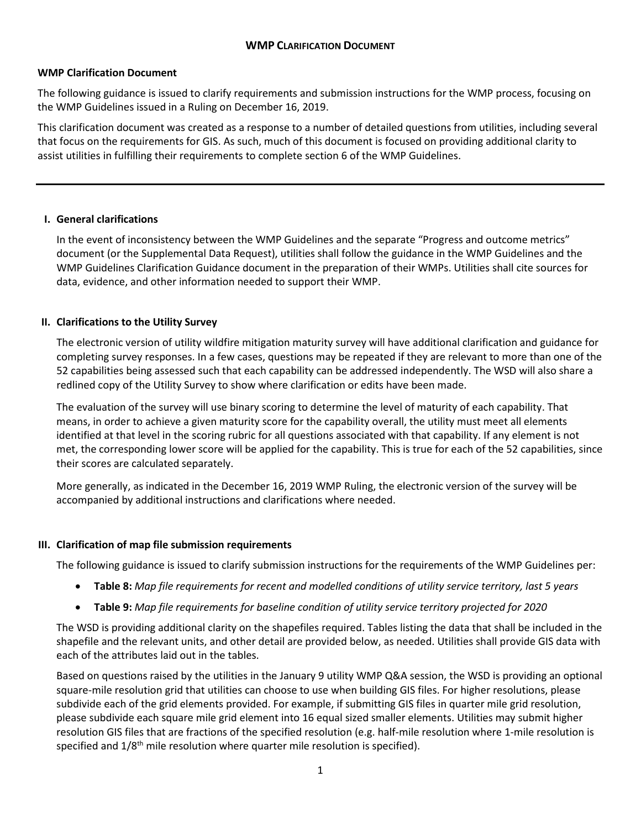### **WMP Clarification Document**

The following guidance is issued to clarify requirements and submission instructions for the WMP process, focusing on the WMP Guidelines issued in a Ruling on December 16, 2019.

This clarification document was created as a response to a number of detailed questions from utilities, including several that focus on the requirements for GIS. As such, much of this document is focused on providing additional clarity to assist utilities in fulfilling their requirements to complete section 6 of the WMP Guidelines.

## **I. General clarifications**

In the event of inconsistency between the WMP Guidelines and the separate "Progress and outcome metrics" document (or the Supplemental Data Request), utilities shall follow the guidance in the WMP Guidelines and the WMP Guidelines Clarification Guidance document in the preparation of their WMPs. Utilities shall cite sources for data, evidence, and other information needed to support their WMP.

# **II. Clarifications to the Utility Survey**

The electronic version of utility wildfire mitigation maturity survey will have additional clarification and guidance for completing survey responses. In a few cases, questions may be repeated if they are relevant to more than one of the 52 capabilities being assessed such that each capability can be addressed independently. The WSD will also share a redlined copy of the Utility Survey to show where clarification or edits have been made.

The evaluation of the survey will use binary scoring to determine the level of maturity of each capability. That means, in order to achieve a given maturity score for the capability overall, the utility must meet all elements identified at that level in the scoring rubric for all questions associated with that capability. If any element is not met, the corresponding lower score will be applied for the capability. This is true for each of the 52 capabilities, since their scores are calculated separately.

More generally, as indicated in the December 16, 2019 WMP Ruling, the electronic version of the survey will be accompanied by additional instructions and clarifications where needed.

### **III. Clarification of map file submission requirements**

The following guidance is issued to clarify submission instructions for the requirements of the WMP Guidelines per:

- **Table 8:** *Map file requirements for recent and modelled conditions of utility service territory, last 5 years*
- **Table 9:** *Map file requirements for baseline condition of utility service territory projected for 2020*

The WSD is providing additional clarity on the shapefiles required. Tables listing the data that shall be included in the shapefile and the relevant units, and other detail are provided below, as needed. Utilities shall provide GIS data with each of the attributes laid out in the tables.

Based on questions raised by the utilities in the January 9 utility WMP Q&A session, the WSD is providing an optional square-mile resolution grid that utilities can choose to use when building GIS files. For higher resolutions, please subdivide each of the grid elements provided. For example, if submitting GIS files in quarter mile grid resolution, please subdivide each square mile grid element into 16 equal sized smaller elements. Utilities may submit higher resolution GIS files that are fractions of the specified resolution (e.g. half-mile resolution where 1-mile resolution is specified and 1/8<sup>th</sup> mile resolution where quarter mile resolution is specified).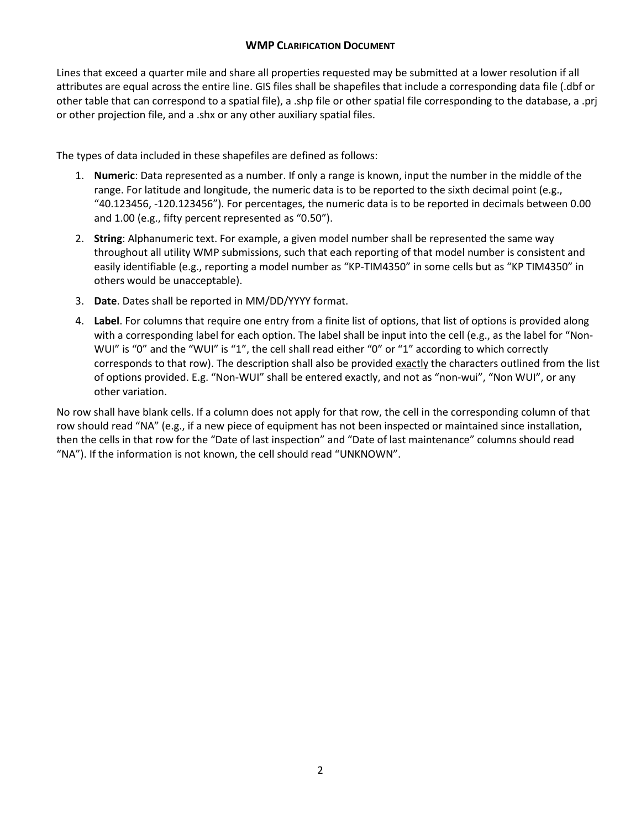Lines that exceed a quarter mile and share all properties requested may be submitted at a lower resolution if all attributes are equal across the entire line. GIS files shall be shapefiles that include a corresponding data file (.dbf or other table that can correspond to a spatial file), a .shp file or other spatial file corresponding to the database, a .prj or other projection file, and a .shx or any other auxiliary spatial files.

The types of data included in these shapefiles are defined as follows:

- 1. **Numeric**: Data represented as a number. If only a range is known, input the number in the middle of the range. For latitude and longitude, the numeric data is to be reported to the sixth decimal point (e.g., "40.123456, -120.123456"). For percentages, the numeric data is to be reported in decimals between 0.00 and 1.00 (e.g., fifty percent represented as "0.50").
- 2. **String**: Alphanumeric text. For example, a given model number shall be represented the same way throughout all utility WMP submissions, such that each reporting of that model number is consistent and easily identifiable (e.g., reporting a model number as "KP-TIM4350" in some cells but as "KP TIM4350" in others would be unacceptable).
- 3. **Date**. Dates shall be reported in MM/DD/YYYY format.
- 4. **Label**. For columns that require one entry from a finite list of options, that list of options is provided along with a corresponding label for each option. The label shall be input into the cell (e.g., as the label for "Non-WUI" is "0" and the "WUI" is "1", the cell shall read either "0" or "1" according to which correctly corresponds to that row). The description shall also be provided exactly the characters outlined from the list of options provided. E.g. "Non-WUI" shall be entered exactly, and not as "non-wui", "Non WUI", or any other variation.

No row shall have blank cells. If a column does not apply for that row, the cell in the corresponding column of that row should read "NA" (e.g., if a new piece of equipment has not been inspected or maintained since installation, then the cells in that row for the "Date of last inspection" and "Date of last maintenance" columns should read "NA"). If the information is not known, the cell should read "UNKNOWN".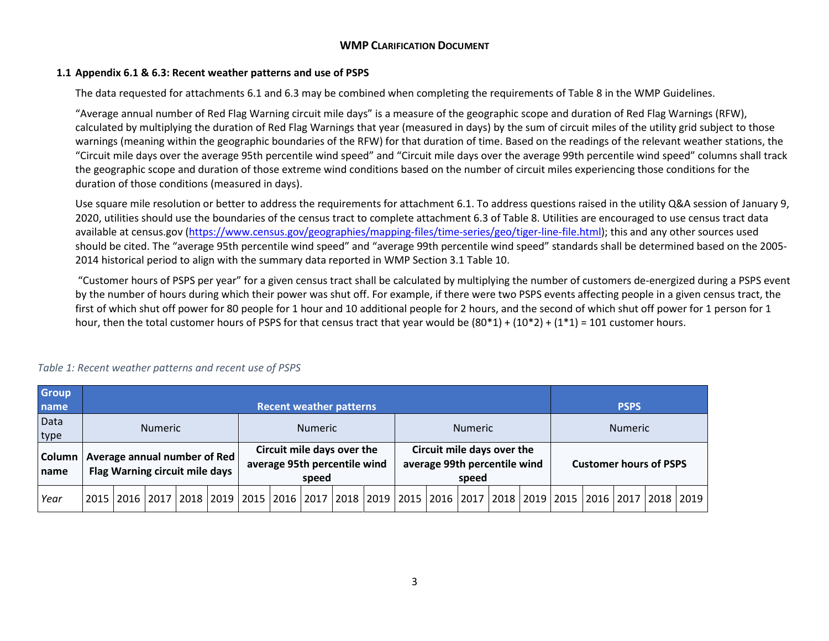### **1.1 Appendix 6.1 & 6.3: Recent weather patterns and use of PSPS**

The data requested for attachments 6.1 and 6.3 may be combined when completing the requirements of Table 8 in the WMP Guidelines.

"Average annual number of Red Flag Warning circuit mile days" is a measure of the geographic scope and duration of Red Flag Warnings (RFW), calculated by multiplying the duration of Red Flag Warnings that year (measured in days) by the sum of circuit miles of the utility grid subject to those warnings (meaning within the geographic boundaries of the RFW) for that duration of time. Based on the readings of the relevant weather stations, the "Circuit mile days over the average 95th percentile wind speed" and "Circuit mile days over the average 99th percentile wind speed" columns shall track the geographic scope and duration of those extreme wind conditions based on the number of circuit miles experiencing those conditions for the duration of those conditions (measured in days).

Use square mile resolution or better to address the requirements for attachment 6.1. To address questions raised in the utility Q&A session of January 9, 2020, utilities should use the boundaries of the census tract to complete attachment 6.3 of Table 8. Utilities are encouraged to use census tract data available at census.gov [\(https://www.census.gov/geographies/mapping-files/time-series/geo/tiger-line-file.html\)](https://www.census.gov/geographies/mapping-files/time-series/geo/tiger-line-file.html); this and any other sources used should be cited. The "average 95th percentile wind speed" and "average 99th percentile wind speed" standards shall be determined based on the 2005- 2014 historical period to align with the summary data reported in WMP Section 3.1 Table 10.

"Customer hours of PSPS per year" for a given census tract shall be calculated by multiplying the number of customers de-energized during a PSPS event by the number of hours during which their power was shut off. For example, if there were two PSPS events affecting people in a given census tract, the first of which shut off power for 80 people for 1 hour and 10 additional people for 2 hours, and the second of which shut off power for 1 person for 1 hour, then the total customer hours of PSPS for that census tract that year would be  $(80*1) + (10*2) + (1*1) = 101$  customer hours.

| <b>Group</b>           |                                                                |  | <b>Recent weather patterns</b> |  |                                  |                                                                                                                        |                                                            |                |  |  |       |                                                            |  |  |  |             |                               |  |  |  |
|------------------------|----------------------------------------------------------------|--|--------------------------------|--|----------------------------------|------------------------------------------------------------------------------------------------------------------------|------------------------------------------------------------|----------------|--|--|-------|------------------------------------------------------------|--|--|--|-------------|-------------------------------|--|--|--|
| name                   |                                                                |  |                                |  |                                  |                                                                                                                        |                                                            |                |  |  |       |                                                            |  |  |  | <b>PSPS</b> |                               |  |  |  |
| Data                   | <b>Numeric</b>                                                 |  |                                |  | <b>Numeric</b><br><b>Numeric</b> |                                                                                                                        |                                                            | <b>Numeric</b> |  |  |       |                                                            |  |  |  |             |                               |  |  |  |
| type                   |                                                                |  |                                |  |                                  |                                                                                                                        |                                                            |                |  |  |       |                                                            |  |  |  |             |                               |  |  |  |
| <b>Column</b><br>Iname | Average annual number of Red<br>Flag Warning circuit mile days |  |                                |  |                                  | speed                                                                                                                  | Circuit mile days over the<br>average 95th percentile wind |                |  |  | speed | Circuit mile days over the<br>average 99th percentile wind |  |  |  |             | <b>Customer hours of PSPS</b> |  |  |  |
| Year                   |                                                                |  |                                |  |                                  | 2015  2016  2017  2018  2019  2015  2016  2017  2018  2019  2015  2016  2017  2018  2019  2015  2016  2017  2018  2019 |                                                            |                |  |  |       |                                                            |  |  |  |             |                               |  |  |  |

#### *Table 1: Recent weather patterns and recent use of PSPS*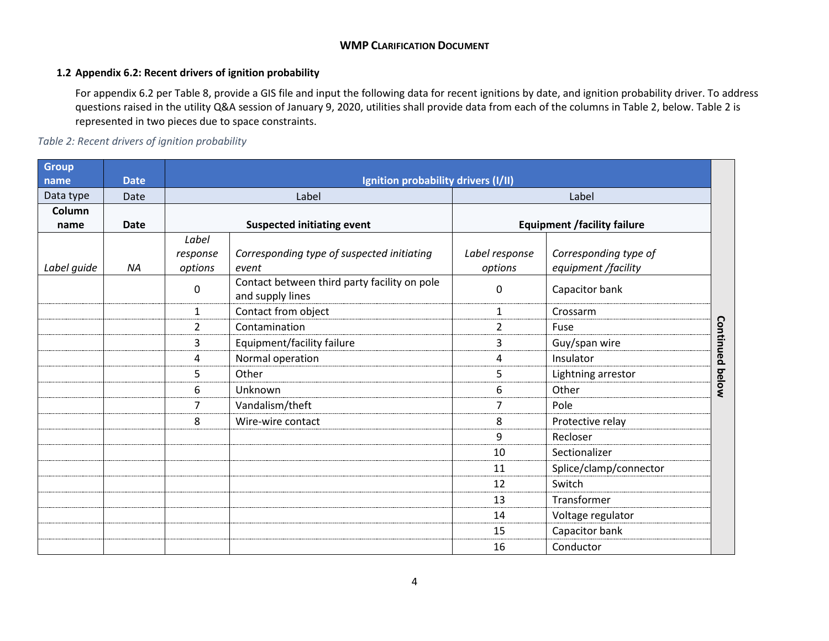### **1.2 Appendix 6.2: Recent drivers of ignition probability**

For appendix 6.2 per Table 8, provide a GIS file and input the following data for recent ignitions by date, and ignition probability driver. To address questions raised in the utility Q&A session of January 9, 2020, utilities shall provide data from each of the columns in Table 2, below. Table 2 is represented in two pieces due to space constraints.

# *Table 2: Recent drivers of ignition probability*

| <b>Group</b> |             |                |                                                                  |                |                                    |                        |  |
|--------------|-------------|----------------|------------------------------------------------------------------|----------------|------------------------------------|------------------------|--|
| name         | <b>Date</b> |                | Ignition probability drivers (I/II)                              |                |                                    |                        |  |
| Data type    | Date        |                | Label                                                            |                | Label                              |                        |  |
| Column       |             |                |                                                                  |                |                                    |                        |  |
| name         | <b>Date</b> |                | <b>Suspected initiating event</b>                                |                | <b>Equipment /facility failure</b> |                        |  |
|              |             | Label          |                                                                  |                |                                    |                        |  |
|              |             | response       | Corresponding type of suspected initiating                       | Label response | Corresponding type of              |                        |  |
| Label guide  | NA          | options        | event                                                            | options        | equipment /facility                |                        |  |
|              |             | 0              | Contact between third party facility on pole<br>and supply lines | 0              | Capacitor bank                     |                        |  |
|              |             | $\mathbf{1}$   | Contact from object                                              | $\mathbf{1}$   | Crossarm                           |                        |  |
|              |             | $\overline{2}$ | Contamination                                                    | $\overline{2}$ | Fuse                               |                        |  |
|              |             | 3              | Equipment/facility failure                                       | 3              | Guy/span wire                      |                        |  |
|              |             | 4              | Normal operation                                                 | 4              | Insulator                          |                        |  |
|              |             | 5              | Other                                                            | 5              | Lightning arrestor                 | <b>Continued below</b> |  |
|              |             | 6              | Unknown                                                          | 6              | Other                              |                        |  |
|              |             | 7              | Vandalism/theft                                                  | 7              | Pole                               |                        |  |
|              |             | 8              | Wire-wire contact                                                | 8              | Protective relay                   |                        |  |
|              |             |                |                                                                  | 9              | Recloser                           |                        |  |
|              |             |                |                                                                  | 10             | Sectionalizer                      |                        |  |
|              |             |                |                                                                  | 11             | Splice/clamp/connector             |                        |  |
|              |             |                |                                                                  | 12             | Switch                             |                        |  |
|              |             |                |                                                                  | 13             | Transformer                        |                        |  |
|              |             |                |                                                                  | 14             | Voltage regulator                  |                        |  |
|              |             |                |                                                                  | 15             | Capacitor bank                     |                        |  |
|              |             |                |                                                                  | 16             | Conductor                          |                        |  |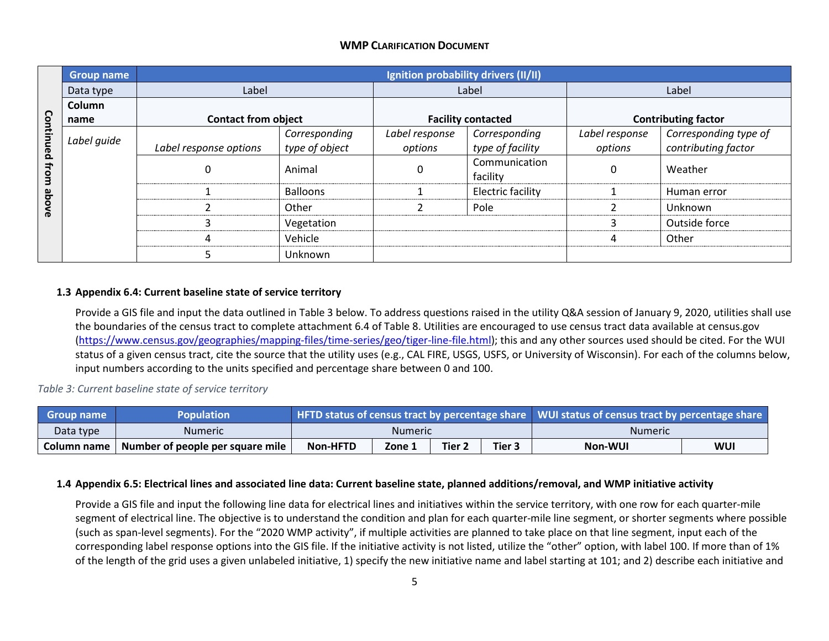|           | <b>Group name</b> |                            |                 | Ignition probability drivers (II/II) |                           |                |                            |
|-----------|-------------------|----------------------------|-----------------|--------------------------------------|---------------------------|----------------|----------------------------|
|           | Data type         | Label                      |                 |                                      | Label                     |                | Label                      |
|           | Column            |                            |                 |                                      |                           |                |                            |
|           | name              | <b>Contact from object</b> |                 |                                      | <b>Facility contacted</b> |                | <b>Contributing factor</b> |
| Continued | Label guide       |                            | Corresponding   | Label response                       | Corresponding             | Label response | Corresponding type of      |
|           |                   | Label response options     | type of object  | options                              | type of facility          | options        | contributing factor        |
| from      |                   | 0                          | Animal          | 0                                    | Communication<br>facility | Ω              | Weather                    |
|           |                   |                            | <b>Balloons</b> |                                      | <b>Electric facility</b>  |                | Human error                |
| avode     |                   |                            | Other           |                                      | Pole                      |                | Unknown                    |
|           |                   | 3                          | Vegetation      |                                      |                           |                | Outside force              |
|           |                   | 4                          | Vehicle         |                                      |                           |                | Other                      |
|           |                   |                            | Unknown         |                                      |                           |                |                            |

### **1.3 Appendix 6.4: Current baseline state of service territory**

Provide a GIS file and input the data outlined in Table 3 below. To address questions raised in the utility Q&A session of January 9, 2020, utilities shall use the boundaries of the census tract to complete attachment 6.4 of Table 8. Utilities are encouraged to use census tract data available at census.gov [\(https://www.census.gov/geographies/mapping-files/time-series/geo/tiger-line-file.html\)](https://www.census.gov/geographies/mapping-files/time-series/geo/tiger-line-file.html); this and any other sources used should be cited. For the WUI status of a given census tract, cite the source that the utility uses (e.g., CAL FIRE, USGS, USFS, or University of Wisconsin). For each of the columns below, input numbers according to the units specified and percentage share between 0 and 100.

## *Table 3: Current baseline state of service territory*

| <b>Group name</b> | Population                       |                 |         |        |                   | HFTD status of census tract by percentage share   WUI status of census tract by percentage share |     |  |  |
|-------------------|----------------------------------|-----------------|---------|--------|-------------------|--------------------------------------------------------------------------------------------------|-----|--|--|
| Data type         | Numeric                          |                 | Numeric |        |                   | <b>Numeric</b>                                                                                   |     |  |  |
| Column name       | Number of people per square mile | <b>Non-HFTD</b> | Zone 1  | Tier 2 | Tier <sub>3</sub> | Non-WUI                                                                                          | WUI |  |  |

#### **1.4 Appendix 6.5: Electrical lines and associated line data: Current baseline state, planned additions/removal, and WMP initiative activity**

Provide a GIS file and input the following line data for electrical lines and initiatives within the service territory, with one row for each quarter-mile segment of electrical line. The objective is to understand the condition and plan for each quarter-mile line segment, or shorter segments where possible (such as span-level segments). For the "2020 WMP activity", if multiple activities are planned to take place on that line segment, input each of the corresponding label response options into the GIS file. If the initiative activity is not listed, utilize the "other" option, with label 100. If more than of 1% of the length of the grid uses a given unlabeled initiative, 1) specify the new initiative name and label starting at 101; and 2) describe each initiative and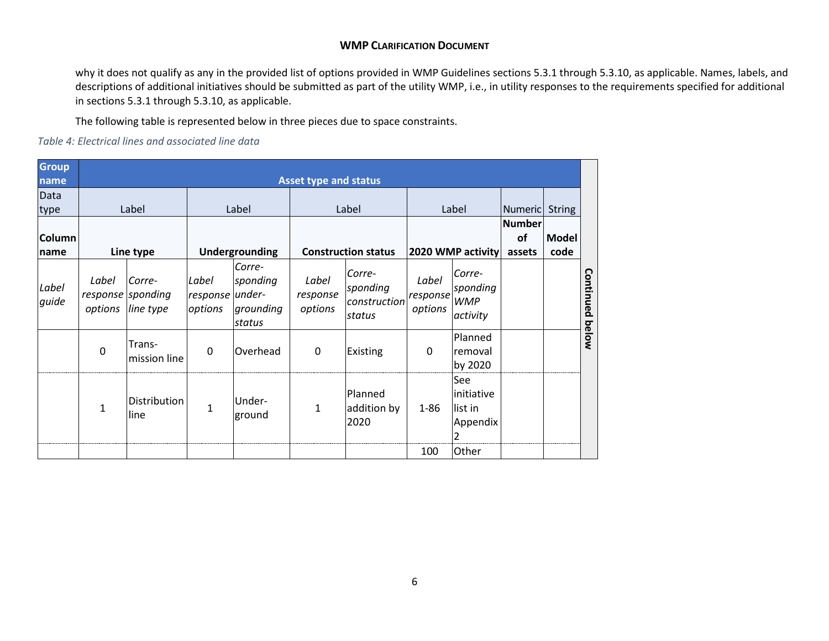why it does not qualify as any in the provided list of options provided in WMP Guidelines sections 5.3.1 through 5.3.10, as applicable. Names, labels, and descriptions of additional initiatives should be submitted as part of the utility WMP, i.e., in utility responses to the requirements specified for additional in sections 5.3.1 through 5.3.10, as applicable.

The following table is represented below in three pieces due to space constraints.

*Table 4: Electrical lines and associated line data*

| <b>Group</b>    |                  |                                          |                                     |                                           |                              |                                              |                              |                                               |                               |               |           |
|-----------------|------------------|------------------------------------------|-------------------------------------|-------------------------------------------|------------------------------|----------------------------------------------|------------------------------|-----------------------------------------------|-------------------------------|---------------|-----------|
| name            |                  |                                          |                                     |                                           | <b>Asset type and status</b> |                                              |                              |                                               |                               |               |           |
| Data<br>type    |                  | Label                                    |                                     | Label                                     |                              | Label                                        |                              | Label                                         | Numeric                       | <b>String</b> |           |
| Column <br>name | Line type        |                                          |                                     | Undergrounding                            | <b>Construction status</b>   |                                              |                              | 2020 WMP activity                             | <b>Number</b><br>of<br>assets | Model<br>code |           |
| Label<br>guide  | Label<br>options | Corre-<br>response sponding<br>line type | Label<br>response under-<br>options | Corre-<br>sponding<br>grounding<br>status | Label<br>response<br>options | Corre-<br>sponding<br>construction<br>status | Label<br>response<br>options | Corre-<br>sponding<br><b>WMP</b><br>activity  |                               |               | Continued |
|                 | $\mathbf 0$      | Trans-<br>mission line                   | $\mathbf 0$                         | Overhead                                  | $\mathbf{0}$                 | Existing                                     | 0                            | Planned<br>removal<br>by 2020                 |                               |               | below     |
|                 | 1                | Distribution<br>line                     | $\mathbf{1}$                        | Under-<br>ground                          | 1                            | Planned<br>addition by<br>2020               | $1 - 86$                     | See<br>initiative<br>list in<br>Appendix<br>2 |                               |               |           |
|                 |                  |                                          |                                     |                                           |                              |                                              | 100                          | Other                                         |                               |               |           |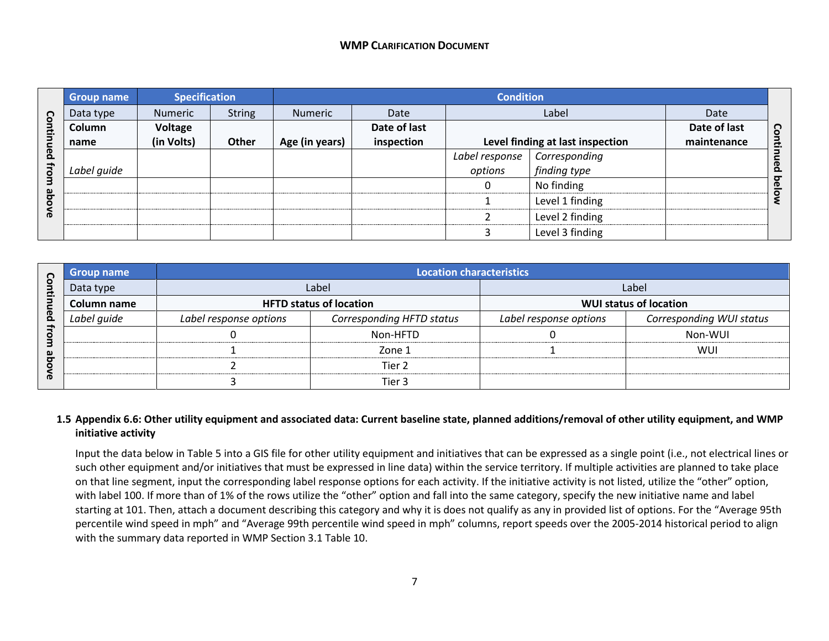|                         | <b>Group name</b> | <b>Specification</b> |               |                |              | <b>Condition</b> |                                  |              |                   |
|-------------------------|-------------------|----------------------|---------------|----------------|--------------|------------------|----------------------------------|--------------|-------------------|
| <u>S</u>                | Data type         | Numeric              | <b>String</b> | Numeric        | Date         |                  | Label                            | Date         |                   |
| 료                       | Column            | Voltage              |               |                | Date of last |                  |                                  | Date of last |                   |
|                         | name              | (in Volts)           | <b>Other</b>  | Age (in years) | inspection   |                  | Level finding at last inspection | maintenance  | Contil            |
| <u>a</u>                |                   |                      |               |                |              | Label response   | Corresponding                    |              | neq               |
| $\overline{\mathbf{Q}}$ | Label guide       |                      |               |                |              | options          | finding type                     |              | ਠ                 |
| 3                       |                   |                      |               |                |              | 0                | No finding                       |              | $\mathbf{D}$<br>O |
| qe                      |                   |                      |               |                |              |                  | Level 1 finding                  |              |                   |
| <b>DVB</b>              |                   |                      |               |                |              |                  | Level 2 finding                  |              |                   |
|                         |                   |                      |               |                |              |                  | Level 3 finding                  |              |                   |

| n                        | Group name  |                        | <b>Location characteristics</b> |                        |                               |  |  |  |  |  |  |  |
|--------------------------|-------------|------------------------|---------------------------------|------------------------|-------------------------------|--|--|--|--|--|--|--|
| $\overline{\phantom{a}}$ | Data type   |                        | Label                           |                        | Label                         |  |  |  |  |  |  |  |
|                          | Column name |                        | <b>HFTD status of location</b>  |                        | <b>WUI status of location</b> |  |  |  |  |  |  |  |
| ന<br>$\Omega$            | Label quide | Label response options | Corresponding HFTD status       | Label response options | Corresponding WUI status      |  |  |  |  |  |  |  |
|                          |             |                        | Non-HFTD                        |                        | Non-WUI                       |  |  |  |  |  |  |  |
| ച                        |             |                        | Zone 1                          |                        | WUI                           |  |  |  |  |  |  |  |
|                          |             |                        | Tier 2                          |                        |                               |  |  |  |  |  |  |  |
| m                        |             |                        | Tier 3                          |                        |                               |  |  |  |  |  |  |  |

## **1.5 Appendix 6.6: Other utility equipment and associated data: Current baseline state, planned additions/removal of other utility equipment, and WMP initiative activity**

Input the data below in Table 5 into a GIS file for other utility equipment and initiatives that can be expressed as a single point (i.e., not electrical lines or such other equipment and/or initiatives that must be expressed in line data) within the service territory. If multiple activities are planned to take place on that line segment, input the corresponding label response options for each activity. If the initiative activity is not listed, utilize the "other" option, with label 100. If more than of 1% of the rows utilize the "other" option and fall into the same category, specify the new initiative name and label starting at 101. Then, attach a document describing this category and why it is does not qualify as any in provided list of options. For the "Average 95th percentile wind speed in mph" and "Average 99th percentile wind speed in mph" columns, report speeds over the 2005-2014 historical period to align with the summary data reported in WMP Section 3.1 Table 10.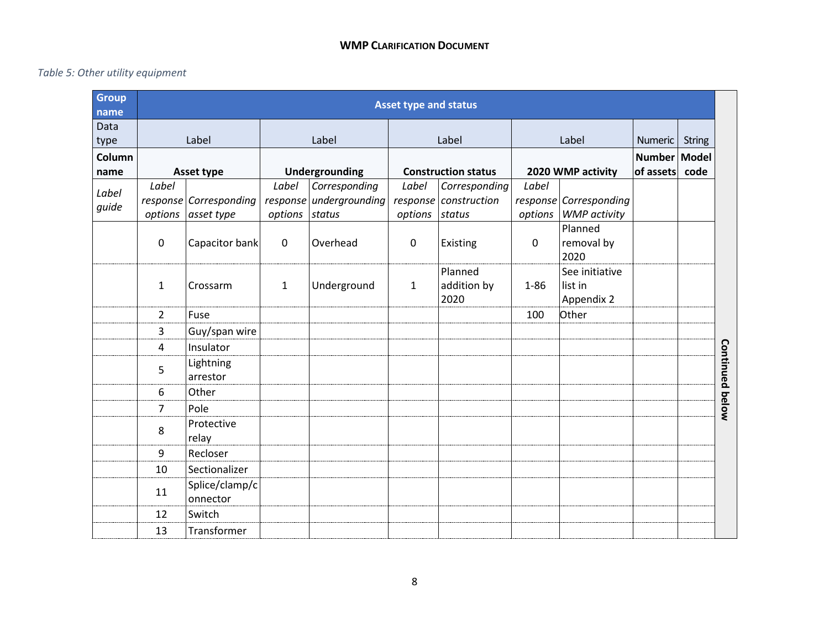# *Table 5: Other utility equipment*

| <b>Group</b><br>name |                  | <b>Asset type and status</b>         |                  |                                                    |                  |                                                  |                  |                                               |                           |               |
|----------------------|------------------|--------------------------------------|------------------|----------------------------------------------------|------------------|--------------------------------------------------|------------------|-----------------------------------------------|---------------------------|---------------|
| Data<br>type         |                  | Label                                |                  | Label                                              |                  | Label                                            |                  | Label                                         | Numeric                   | <b>String</b> |
| Column<br>name       |                  | Asset type                           |                  | Undergrounding                                     |                  | <b>Construction status</b>                       |                  | 2020 WMP activity                             | Number Model<br>of assets | code          |
| Label<br>guide       | Label<br>options | response Corresponding<br>asset type | Label<br>options | Corresponding<br>response undergrounding<br>status | Label<br>options | Corresponding<br>response construction<br>status | Label<br>options | response Corresponding<br><b>WMP</b> activity |                           |               |
|                      | $\mathbf 0$      | Capacitor bank                       | $\mathbf 0$      | Overhead                                           | $\mathbf 0$      | Existing                                         | 0                | Planned<br>removal by<br>2020                 |                           |               |
|                      | $\mathbf{1}$     | Crossarm                             | $\mathbf{1}$     | Underground                                        | $\mathbf{1}$     | Planned<br>addition by<br>2020                   | $1 - 86$         | See initiative<br>list in<br>Appendix 2       |                           |               |
|                      | $\overline{2}$   | Fuse                                 |                  |                                                    |                  |                                                  | 100              | Other                                         |                           |               |
|                      | 3                | Guy/span wire                        |                  |                                                    |                  |                                                  |                  |                                               |                           |               |
|                      | 4                | Insulator                            |                  |                                                    |                  |                                                  |                  |                                               |                           |               |
|                      | 5                | Lightning<br>arrestor                |                  |                                                    |                  |                                                  |                  |                                               |                           |               |
|                      | 6                | Other                                |                  |                                                    |                  |                                                  |                  |                                               |                           |               |
|                      | $\overline{7}$   | Pole                                 |                  |                                                    |                  |                                                  |                  |                                               |                           |               |
|                      | 8                | Protective<br>relay                  |                  |                                                    |                  |                                                  |                  |                                               |                           |               |
|                      | 9                | Recloser                             |                  |                                                    |                  |                                                  |                  |                                               |                           |               |
|                      | 10               | Sectionalizer                        |                  |                                                    |                  |                                                  |                  |                                               |                           |               |
|                      | 11               | Splice/clamp/c<br>onnector           |                  |                                                    |                  |                                                  |                  |                                               |                           |               |
|                      | 12               | Switch                               |                  |                                                    |                  |                                                  |                  |                                               |                           |               |
|                      | 13               | Transformer                          |                  |                                                    |                  |                                                  |                  |                                               |                           |               |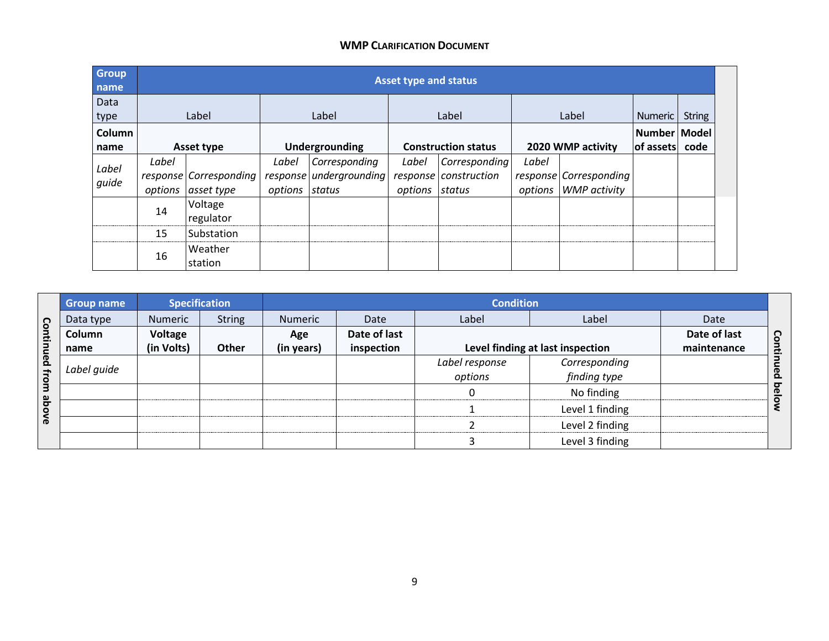| <b>Group</b><br>name |       | <b>Asset type and status</b>                 |                         |                                          |                         |                                        |       |                                                |                           |               |  |
|----------------------|-------|----------------------------------------------|-------------------------|------------------------------------------|-------------------------|----------------------------------------|-------|------------------------------------------------|---------------------------|---------------|--|
| Data<br>type         |       | Label                                        |                         | Label                                    |                         | Label                                  |       | Label                                          | Numeric                   | <b>String</b> |  |
| Column<br>name       |       | Asset type                                   |                         | Undergrounding                           |                         | <b>Construction status</b>             |       | 2020 WMP activity                              | Number Model<br>of assets | code          |  |
| Label<br>quide       | Label | response Corresponding<br>options asset type | Label<br>options status | Corresponding<br>response undergrounding | Label<br>options status | Corresponding<br>response construction | Label | response Corresponding<br>options WMP activity |                           |               |  |
|                      | 14    | Voltage<br>regulator                         |                         |                                          |                         |                                        |       |                                                |                           |               |  |
|                      | 15    | Substation                                   |                         |                                          |                         |                                        |       |                                                |                           |               |  |
|                      | 16    | l Weather<br>station                         |                         |                                          |                         |                                        |       |                                                |                           |               |  |

|              | Group name  |                | <b>Specification</b> |            | <b>Condition</b> |                |                                  |              |                   |  |  |  |  |  |
|--------------|-------------|----------------|----------------------|------------|------------------|----------------|----------------------------------|--------------|-------------------|--|--|--|--|--|
|              | Data type   | <b>Numeric</b> | <b>String</b>        | Numeric    | Date             | Label          | Label                            | Date         |                   |  |  |  |  |  |
| Continued    | Column      | Voltage        |                      | Age        | Date of last     |                |                                  | Date of last | <u>S</u>          |  |  |  |  |  |
|              | name        | (in Volts)     | <b>Other</b>         | (in years) | inspection       |                | Level finding at last inspection | maintenance  | c.                |  |  |  |  |  |
|              | Label quide |                |                      |            |                  | Label response | Corresponding                    |              |                   |  |  |  |  |  |
| <b>Ifrom</b> |             |                |                      |            |                  | options        | finding type                     |              | ဠ                 |  |  |  |  |  |
|              |             |                |                      |            |                  |                | No finding                       |              | ਼<br>$\mathbf{D}$ |  |  |  |  |  |
| ayode        |             |                |                      |            |                  |                | Level 1 finding                  |              |                   |  |  |  |  |  |
|              |             |                |                      |            |                  |                | Level 2 finding                  |              |                   |  |  |  |  |  |
|              |             |                |                      |            |                  |                | Level 3 finding                  |              |                   |  |  |  |  |  |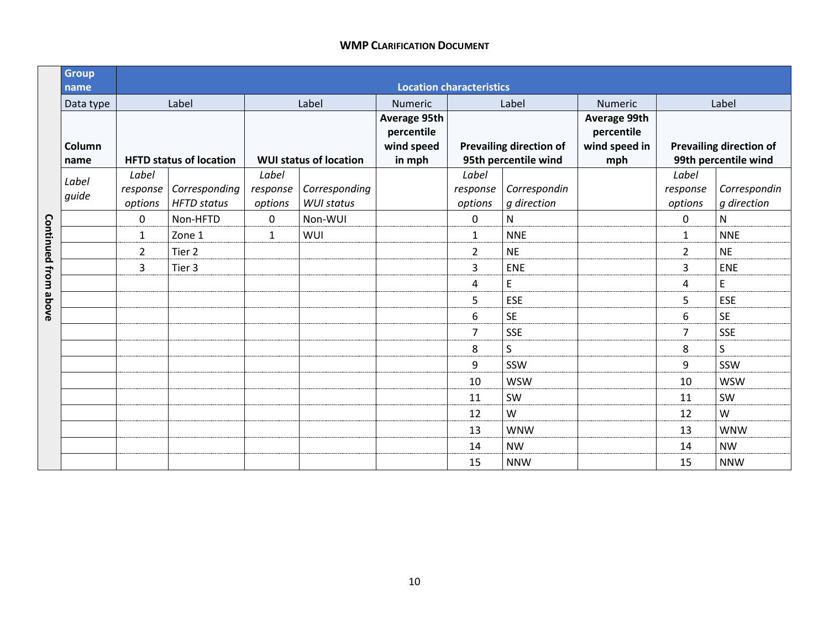|                     | <b>Group</b><br>name |                              |                                     |                              |                                    | <b>Location characteristics</b>                    |                              |                                                        |                                                    |                              |                                                        |
|---------------------|----------------------|------------------------------|-------------------------------------|------------------------------|------------------------------------|----------------------------------------------------|------------------------------|--------------------------------------------------------|----------------------------------------------------|------------------------------|--------------------------------------------------------|
|                     | Data type            |                              | Label                               |                              | Label                              | Numeric                                            |                              | Label                                                  | Numeric                                            |                              | Label                                                  |
|                     | Column<br>name       |                              | <b>HFTD status of location</b>      |                              | <b>WUI status of location</b>      | Average 95th<br>percentile<br>wind speed<br>in mph |                              | <b>Prevailing direction of</b><br>95th percentile wind | Average 99th<br>percentile<br>wind speed in<br>mph |                              | <b>Prevailing direction of</b><br>99th percentile wind |
|                     | Label<br>guide       | Label<br>response<br>options | Corresponding<br><b>HFTD</b> status | Label<br>response<br>options | Corresponding<br><b>WUI status</b> |                                                    | Label<br>response<br>options | Correspondin<br>q direction                            |                                                    | Label<br>response<br>options | Correspondin<br>g direction                            |
|                     |                      | 0                            | Non-HFTD                            | 0                            | Non-WUI                            |                                                    | 0                            | N                                                      |                                                    | $\mathbf 0$                  | $\mathsf{N}$                                           |
| Continued from abov |                      | $\mathbf{1}$                 | Zone 1                              | $\mathbf{1}$                 | WUI                                |                                                    | $\mathbf{1}$                 | <b>NNE</b>                                             |                                                    | $\mathbf{1}$                 | <b>NNE</b>                                             |
|                     |                      | $\overline{2}$               | Tier 2                              |                              |                                    |                                                    | $\overline{2}$               | <b>NE</b>                                              |                                                    | $\overline{2}$               | <b>NE</b>                                              |
|                     |                      | 3                            | Tier <sub>3</sub>                   |                              |                                    |                                                    | 3                            | ENE                                                    |                                                    | 3                            | ENE                                                    |
|                     |                      |                              |                                     |                              |                                    |                                                    | 4                            | E                                                      |                                                    | 4                            | $\mathsf E$                                            |
|                     |                      |                              |                                     |                              |                                    |                                                    | 5                            | <b>ESE</b>                                             |                                                    | 5                            | <b>ESE</b>                                             |
|                     |                      |                              |                                     |                              |                                    |                                                    | 6                            | <b>SE</b>                                              |                                                    | 6                            | <b>SE</b>                                              |
|                     |                      |                              |                                     |                              |                                    |                                                    | $\overline{7}$               | <b>SSE</b>                                             |                                                    | $\overline{7}$               | <b>SSE</b>                                             |
|                     |                      |                              |                                     |                              |                                    |                                                    | 8                            | S                                                      |                                                    | 8                            | S                                                      |
|                     |                      |                              |                                     |                              |                                    |                                                    | 9                            | SSW                                                    |                                                    | 9                            | SSW                                                    |
|                     |                      |                              |                                     |                              |                                    |                                                    | 10                           | <b>WSW</b>                                             |                                                    | 10                           | <b>WSW</b>                                             |
|                     |                      |                              |                                     |                              |                                    |                                                    | 11                           | SW                                                     |                                                    | 11                           | SW                                                     |
|                     |                      |                              |                                     |                              |                                    |                                                    | 12                           | W                                                      |                                                    | 12                           | W                                                      |
|                     |                      |                              |                                     |                              |                                    |                                                    | 13                           | <b>WNW</b>                                             |                                                    | 13                           | <b>WNW</b>                                             |
|                     |                      |                              |                                     |                              |                                    |                                                    | 14                           | <b>NW</b>                                              |                                                    | 14                           | <b>NW</b>                                              |
|                     |                      |                              |                                     |                              |                                    |                                                    | 15                           | <b>NNW</b>                                             |                                                    | 15                           | <b>NNW</b>                                             |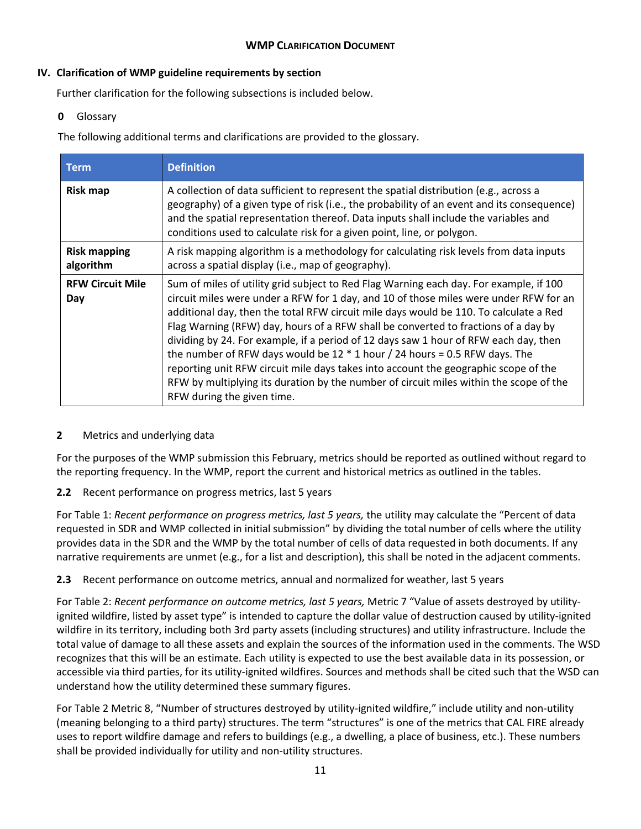# **IV. Clarification of WMP guideline requirements by section**

Further clarification for the following subsections is included below.

# **0** Glossary

The following additional terms and clarifications are provided to the glossary.

| <b>Term</b>                      | <b>Definition</b>                                                                                                                                                                                                                                                                                                                                                                                                                                                                                                                                                                                                                                                                                                                                     |
|----------------------------------|-------------------------------------------------------------------------------------------------------------------------------------------------------------------------------------------------------------------------------------------------------------------------------------------------------------------------------------------------------------------------------------------------------------------------------------------------------------------------------------------------------------------------------------------------------------------------------------------------------------------------------------------------------------------------------------------------------------------------------------------------------|
| <b>Risk map</b>                  | A collection of data sufficient to represent the spatial distribution (e.g., across a<br>geography) of a given type of risk (i.e., the probability of an event and its consequence)<br>and the spatial representation thereof. Data inputs shall include the variables and<br>conditions used to calculate risk for a given point, line, or polygon.                                                                                                                                                                                                                                                                                                                                                                                                  |
| <b>Risk mapping</b><br>algorithm | A risk mapping algorithm is a methodology for calculating risk levels from data inputs<br>across a spatial display (i.e., map of geography).                                                                                                                                                                                                                                                                                                                                                                                                                                                                                                                                                                                                          |
| <b>RFW Circuit Mile</b><br>Day   | Sum of miles of utility grid subject to Red Flag Warning each day. For example, if 100<br>circuit miles were under a RFW for 1 day, and 10 of those miles were under RFW for an<br>additional day, then the total RFW circuit mile days would be 110. To calculate a Red<br>Flag Warning (RFW) day, hours of a RFW shall be converted to fractions of a day by<br>dividing by 24. For example, if a period of 12 days saw 1 hour of RFW each day, then<br>the number of RFW days would be $12 * 1$ hour / 24 hours = 0.5 RFW days. The<br>reporting unit RFW circuit mile days takes into account the geographic scope of the<br>RFW by multiplying its duration by the number of circuit miles within the scope of the<br>RFW during the given time. |

# **2** Metrics and underlying data

For the purposes of the WMP submission this February, metrics should be reported as outlined without regard to the reporting frequency. In the WMP, report the current and historical metrics as outlined in the tables.

# **2.2** Recent performance on progress metrics, last 5 years

For Table 1: *Recent performance on progress metrics, last 5 years,* the utility may calculate the "Percent of data requested in SDR and WMP collected in initial submission" by dividing the total number of cells where the utility provides data in the SDR and the WMP by the total number of cells of data requested in both documents. If any narrative requirements are unmet (e.g., for a list and description), this shall be noted in the adjacent comments.

# **2.3** Recent performance on outcome metrics, annual and normalized for weather, last 5 years

For Table 2: *Recent performance on outcome metrics, last 5 years,* Metric 7 "Value of assets destroyed by utilityignited wildfire, listed by asset type" is intended to capture the dollar value of destruction caused by utility-ignited wildfire in its territory, including both 3rd party assets (including structures) and utility infrastructure. Include the total value of damage to all these assets and explain the sources of the information used in the comments. The WSD recognizes that this will be an estimate. Each utility is expected to use the best available data in its possession, or accessible via third parties, for its utility-ignited wildfires. Sources and methods shall be cited such that the WSD can understand how the utility determined these summary figures.

For Table 2 Metric 8, "Number of structures destroyed by utility-ignited wildfire," include utility and non-utility (meaning belonging to a third party) structures. The term "structures" is one of the metrics that CAL FIRE already uses to report wildfire damage and refers to buildings (e.g., a dwelling, a place of business, etc.). These numbers shall be provided individually for utility and non-utility structures.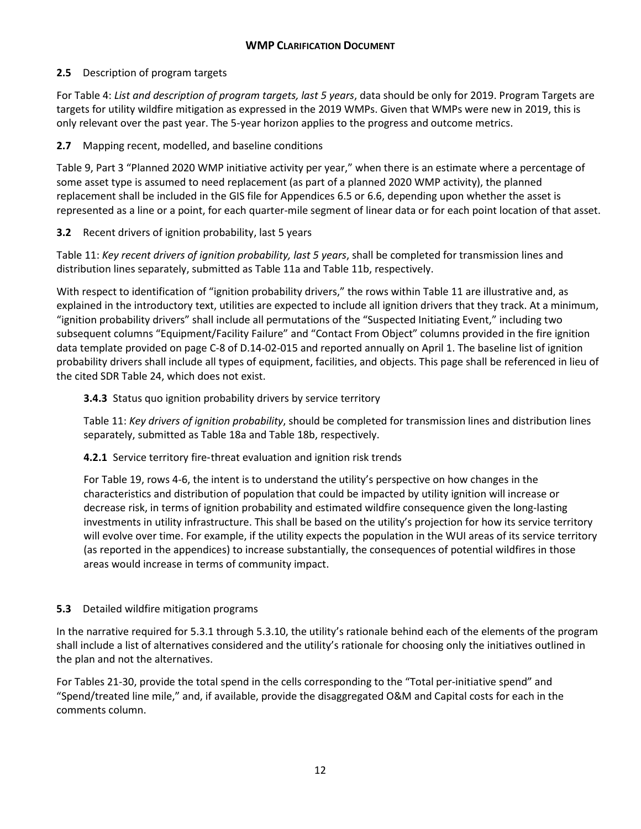# **2.5** Description of program targets

For Table 4: *List and description of program targets, last 5 years*, data should be only for 2019. Program Targets are targets for utility wildfire mitigation as expressed in the 2019 WMPs. Given that WMPs were new in 2019, this is only relevant over the past year. The 5-year horizon applies to the progress and outcome metrics.

# **2.7** Mapping recent, modelled, and baseline conditions

Table 9, Part 3 "Planned 2020 WMP initiative activity per year," when there is an estimate where a percentage of some asset type is assumed to need replacement (as part of a planned 2020 WMP activity), the planned replacement shall be included in the GIS file for Appendices 6.5 or 6.6, depending upon whether the asset is represented as a line or a point, for each quarter-mile segment of linear data or for each point location of that asset.

# **3.2** Recent drivers of ignition probability, last 5 years

Table 11: *Key recent drivers of ignition probability, last 5 years*, shall be completed for transmission lines and distribution lines separately, submitted as Table 11a and Table 11b, respectively.

With respect to identification of "ignition probability drivers," the rows within Table 11 are illustrative and, as explained in the introductory text, utilities are expected to include all ignition drivers that they track. At a minimum, "ignition probability drivers" shall include all permutations of the "Suspected Initiating Event," including two subsequent columns "Equipment/Facility Failure" and "Contact From Object" columns provided in the fire ignition data template provided on page C-8 of D.14-02-015 and reported annually on April 1. The baseline list of ignition probability drivers shall include all types of equipment, facilities, and objects. This page shall be referenced in lieu of the cited SDR Table 24, which does not exist.

# **3.4.3** Status quo ignition probability drivers by service territory

Table 11: *Key drivers of ignition probability*, should be completed for transmission lines and distribution lines separately, submitted as Table 18a and Table 18b, respectively.

**4.2.1** Service territory fire-threat evaluation and ignition risk trends

For Table 19, rows 4-6, the intent is to understand the utility's perspective on how changes in the characteristics and distribution of population that could be impacted by utility ignition will increase or decrease risk, in terms of ignition probability and estimated wildfire consequence given the long-lasting investments in utility infrastructure. This shall be based on the utility's projection for how its service territory will evolve over time. For example, if the utility expects the population in the WUI areas of its service territory (as reported in the appendices) to increase substantially, the consequences of potential wildfires in those areas would increase in terms of community impact.

# **5.3** Detailed wildfire mitigation programs

In the narrative required for 5.3.1 through 5.3.10, the utility's rationale behind each of the elements of the program shall include a list of alternatives considered and the utility's rationale for choosing only the initiatives outlined in the plan and not the alternatives.

For Tables 21-30, provide the total spend in the cells corresponding to the "Total per-initiative spend" and "Spend/treated line mile," and, if available, provide the disaggregated O&M and Capital costs for each in the comments column.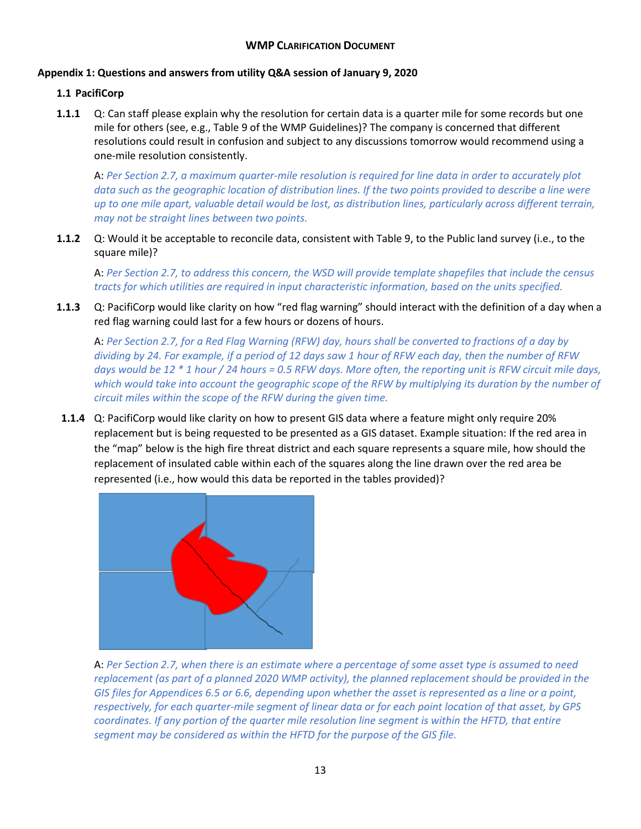# **Appendix 1: Questions and answers from utility Q&A session of January 9, 2020**

# **1.1 PacifiCorp**

**1.1.1** Q: Can staff please explain why the resolution for certain data is a quarter mile for some records but one mile for others (see, e.g., Table 9 of the WMP Guidelines)? The company is concerned that different resolutions could result in confusion and subject to any discussions tomorrow would recommend using a one-mile resolution consistently.

A: *Per Section 2.7, a maximum quarter-mile resolution is required for line data in order to accurately plot data such as the geographic location of distribution lines. If the two points provided to describe a line were up to one mile apart, valuable detail would be lost, as distribution lines, particularly across different terrain, may not be straight lines between two points.*

**1.1.2** Q: Would it be acceptable to reconcile data, consistent with Table 9, to the Public land survey (i.e., to the square mile)?

A: *Per Section 2.7, to address this concern, the WSD will provide template shapefiles that include the census tracts for which utilities are required in input characteristic information, based on the units specified.* 

**1.1.3** Q: PacifiCorp would like clarity on how "red flag warning" should interact with the definition of a day when a red flag warning could last for a few hours or dozens of hours.

A: *Per Section 2.7, for a Red Flag Warning (RFW) day, hours shall be converted to fractions of a day by dividing by 24. For example, if a period of 12 days saw 1 hour of RFW each day, then the number of RFW days would be 12 \* 1 hour / 24 hours = 0.5 RFW days. More often, the reporting unit is RFW circuit mile days, which would take into account the geographic scope of the RFW by multiplying its duration by the number of circuit miles within the scope of the RFW during the given time.*

**1.1.4** Q: PacifiCorp would like clarity on how to present GIS data where a feature might only require 20% replacement but is being requested to be presented as a GIS dataset. Example situation: If the red area in the "map" below is the high fire threat district and each square represents a square mile, how should the replacement of insulated cable within each of the squares along the line drawn over the red area be represented (i.e., how would this data be reported in the tables provided)?



A: *Per Section 2.7, when there is an estimate where a percentage of some asset type is assumed to need replacement (as part of a planned 2020 WMP activity), the planned replacement should be provided in the GIS files for Appendices 6.5 or 6.6, depending upon whether the asset is represented as a line or a point, respectively, for each quarter-mile segment of linear data or for each point location of that asset, by GPS coordinates. If any portion of the quarter mile resolution line segment is within the HFTD, that entire segment may be considered as within the HFTD for the purpose of the GIS file.*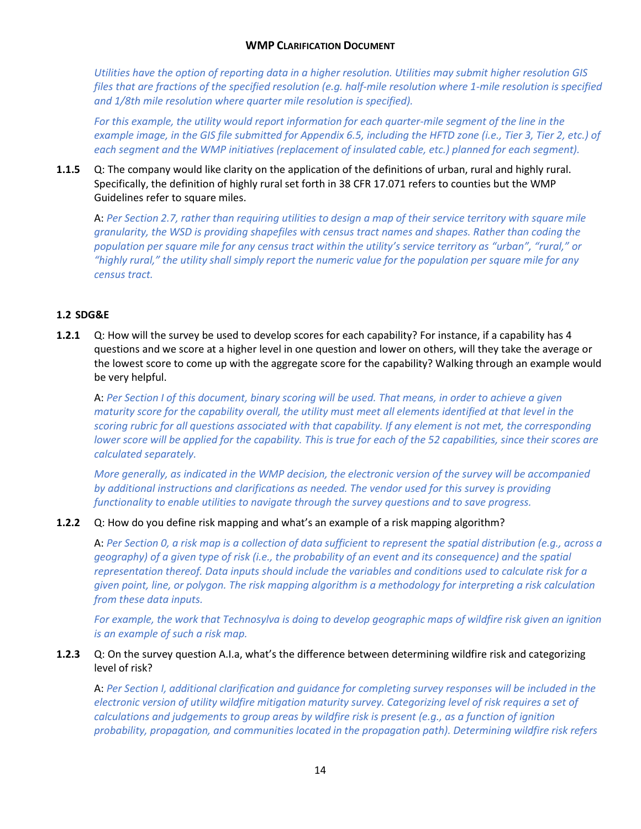*Utilities have the option of reporting data in a higher resolution. Utilities may submit higher resolution GIS files that are fractions of the specified resolution (e.g. half-mile resolution where 1-mile resolution is specified and 1/8th mile resolution where quarter mile resolution is specified).*

For this example, the utility would report information for each quarter-mile segment of the line in the example image, in the GIS file submitted for Appendix 6.5, including the HFTD zone (i.e., Tier 3, Tier 2, etc.) of *each segment and the WMP initiatives (replacement of insulated cable, etc.) planned for each segment).* 

**1.1.5** Q: The company would like clarity on the application of the definitions of urban, rural and highly rural. Specifically, the definition of highly rural set forth in 38 CFR 17.071 refers to counties but the WMP Guidelines refer to square miles.

A: *Per Section 2.7, rather than requiring utilities to design a map of their service territory with square mile granularity, the WSD is providing shapefiles with census tract names and shapes. Rather than coding the population per square mile for any census tract within the utility's service territory as "urban", "rural," or "highly rural," the utility shall simply report the numeric value for the population per square mile for any census tract.*

## **1.2 SDG&E**

**1.2.1** Q: How will the survey be used to develop scores for each capability? For instance, if a capability has 4 questions and we score at a higher level in one question and lower on others, will they take the average or the lowest score to come up with the aggregate score for the capability? Walking through an example would be very helpful.

A: *Per Section I of this document, binary scoring will be used. That means, in order to achieve a given maturity score for the capability overall, the utility must meet all elements identified at that level in the scoring rubric for all questions associated with that capability. If any element is not met, the corresponding lower score will be applied for the capability. This is true for each of the 52 capabilities, since their scores are calculated separately.*

*More generally, as indicated in the WMP decision, the electronic version of the survey will be accompanied by additional instructions and clarifications as needed. The vendor used for this survey is providing functionality to enable utilities to navigate through the survey questions and to save progress.*

### **1.2.2** Q: How do you define risk mapping and what's an example of a risk mapping algorithm?

A: *Per Section 0, a risk map is a collection of data sufficient to represent the spatial distribution (e.g., across a geography) of a given type of risk (i.e., the probability of an event and its consequence) and the spatial representation thereof. Data inputs should include the variables and conditions used to calculate risk for a given point, line, or polygon. The risk mapping algorithm is a methodology for interpreting a risk calculation from these data inputs.*

For example, the work that Technosylva is doing to develop geographic maps of wildfire risk given an ignition *is an example of such a risk map.*

### **1.2.3** Q: On the survey question A.I.a, what's the difference between determining wildfire risk and categorizing level of risk?

A: *Per Section I, additional clarification and guidance for completing survey responses will be included in the electronic version of utility wildfire mitigation maturity survey. Categorizing level of risk requires a set of calculations and judgements to group areas by wildfire risk is present (e.g., as a function of ignition probability, propagation, and communities located in the propagation path). Determining wildfire risk refers*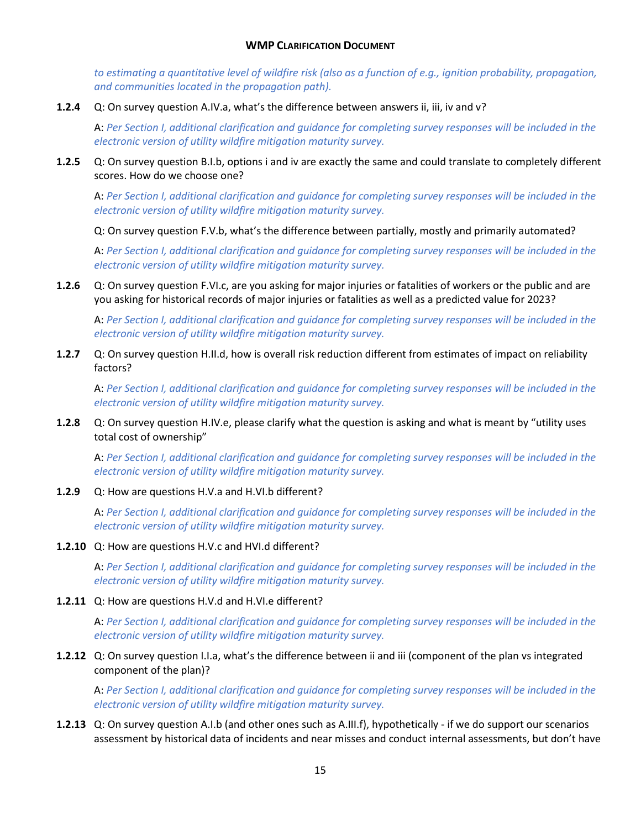to estimating a quantitative level of wildfire risk (also as a function of e.g., ignition probability, propagation, *and communities located in the propagation path).*

**1.2.4** Q: On survey question A.IV.a, what's the difference between answers ii, iii, iv and v?

A: *Per Section I, additional clarification and guidance for completing survey responses will be included in the electronic version of utility wildfire mitigation maturity survey.*

**1.2.5** Q: On survey question B.I.b, options i and iv are exactly the same and could translate to completely different scores. How do we choose one?

A: *Per Section I, additional clarification and guidance for completing survey responses will be included in the electronic version of utility wildfire mitigation maturity survey.*

Q: On survey question F.V.b, what's the difference between partially, mostly and primarily automated?

A: *Per Section I, additional clarification and guidance for completing survey responses will be included in the electronic version of utility wildfire mitigation maturity survey.*

**1.2.6** Q: On survey question F.VI.c, are you asking for major injuries or fatalities of workers or the public and are you asking for historical records of major injuries or fatalities as well as a predicted value for 2023?

A: *Per Section I, additional clarification and guidance for completing survey responses will be included in the electronic version of utility wildfire mitigation maturity survey.*

**1.2.7** Q: On survey question H.II.d, how is overall risk reduction different from estimates of impact on reliability factors?

A: *Per Section I, additional clarification and guidance for completing survey responses will be included in the electronic version of utility wildfire mitigation maturity survey.*

**1.2.8** Q: On survey question H.IV.e, please clarify what the question is asking and what is meant by "utility uses total cost of ownership"

A: *Per Section I, additional clarification and guidance for completing survey responses will be included in the electronic version of utility wildfire mitigation maturity survey.*

**1.2.9** Q: How are questions H.V.a and H.VI.b different?

A: *Per Section I, additional clarification and guidance for completing survey responses will be included in the electronic version of utility wildfire mitigation maturity survey.*

### **1.2.10** Q: How are questions H.V.c and HVI.d different?

A: *Per Section I, additional clarification and guidance for completing survey responses will be included in the electronic version of utility wildfire mitigation maturity survey.*

**1.2.11** Q: How are questions H.V.d and H.VI.e different?

A: *Per Section I, additional clarification and guidance for completing survey responses will be included in the electronic version of utility wildfire mitigation maturity survey.*

## **1.2.12** Q: On survey question I.I.a, what's the difference between ii and iii (component of the plan vs integrated component of the plan)?

A: *Per Section I, additional clarification and guidance for completing survey responses will be included in the electronic version of utility wildfire mitigation maturity survey.*

**1.2.13** Q: On survey question A.I.b (and other ones such as A.III.f), hypothetically - if we do support our scenarios assessment by historical data of incidents and near misses and conduct internal assessments, but don't have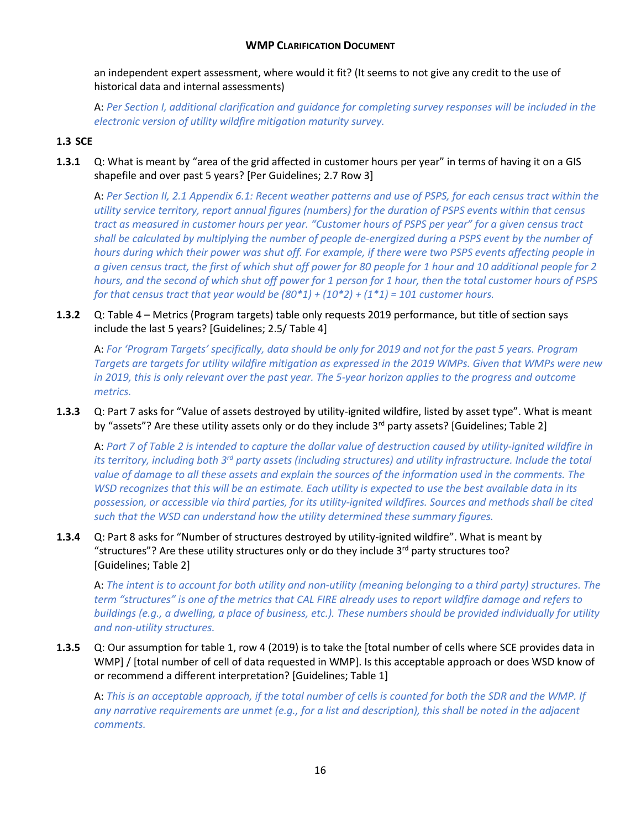an independent expert assessment, where would it fit? (It seems to not give any credit to the use of historical data and internal assessments)

A: *Per Section I, additional clarification and guidance for completing survey responses will be included in the electronic version of utility wildfire mitigation maturity survey.*

## **1.3 SCE**

**1.3.1** Q: What is meant by "area of the grid affected in customer hours per year" in terms of having it on a GIS shapefile and over past 5 years? [Per Guidelines; 2.7 Row 3]

A: *Per Section II, 2.1 Appendix 6.1: Recent weather patterns and use of PSPS, for each census tract within the utility service territory, report annual figures (numbers) for the duration of PSPS events within that census tract as measured in customer hours per year. "Customer hours of PSPS per year" for a given census tract shall be calculated by multiplying the number of people de-energized during a PSPS event by the number of hours during which their power was shut off. For example, if there were two PSPS events affecting people in a given census tract, the first of which shut off power for 80 people for 1 hour and 10 additional people for 2 hours, and the second of which shut off power for 1 person for 1 hour, then the total customer hours of PSPS for that census tract that year would be (80\*1) + (10\*2) + (1\*1) = 101 customer hours.*

**1.3.2** Q: Table 4 – Metrics (Program targets) table only requests 2019 performance, but title of section says include the last 5 years? [Guidelines; 2.5/ Table 4]

A: *For 'Program Targets' specifically, data should be only for 2019 and not for the past 5 years. Program Targets are targets for utility wildfire mitigation as expressed in the 2019 WMPs. Given that WMPs were new in 2019, this is only relevant over the past year. The 5-year horizon applies to the progress and outcome metrics.*

**1.3.3** Q: Part 7 asks for "Value of assets destroyed by utility-ignited wildfire, listed by asset type". What is meant by "assets"? Are these utility assets only or do they include 3<sup>rd</sup> party assets? [Guidelines; Table 2]

A: *Part 7 of Table 2 is intended to capture the dollar value of destruction caused by utility-ignited wildfire in its territory, including both 3rd party assets (including structures) and utility infrastructure. Include the total value of damage to all these assets and explain the sources of the information used in the comments. The WSD recognizes that this will be an estimate. Each utility is expected to use the best available data in its possession, or accessible via third parties, for its utility-ignited wildfires. Sources and methods shall be cited such that the WSD can understand how the utility determined these summary figures.*

**1.3.4** Q: Part 8 asks for "Number of structures destroyed by utility-ignited wildfire". What is meant by "structures"? Are these utility structures only or do they include 3rd party structures too? [Guidelines; Table 2]

A: *The intent is to account for both utility and non-utility (meaning belonging to a third party) structures. The term "structures" is one of the metrics that CAL FIRE already uses to report wildfire damage and refers to buildings (e.g., a dwelling, a place of business, etc.). These numbers should be provided individually for utility and non-utility structures.*

**1.3.5** Q: Our assumption for table 1, row 4 (2019) is to take the [total number of cells where SCE provides data in WMP] / [total number of cell of data requested in WMP]. Is this acceptable approach or does WSD know of or recommend a different interpretation? [Guidelines; Table 1]

A: *This is an acceptable approach, if the total number of cells is counted for both the SDR and the WMP. If any narrative requirements are unmet (e.g., for a list and description), this shall be noted in the adjacent comments.*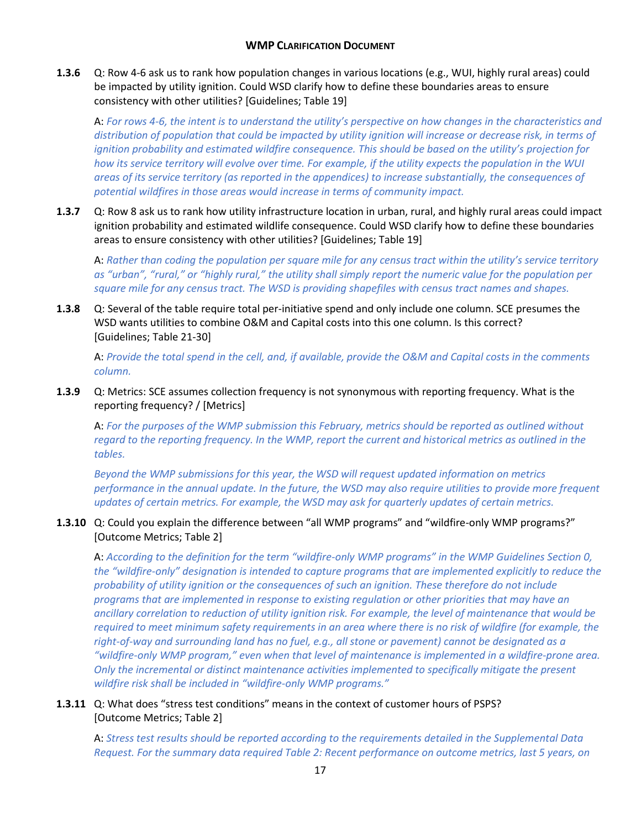**1.3.6** Q: Row 4-6 ask us to rank how population changes in various locations (e.g., WUI, highly rural areas) could be impacted by utility ignition. Could WSD clarify how to define these boundaries areas to ensure consistency with other utilities? [Guidelines; Table 19]

A: *For rows 4-6, the intent is to understand the utility's perspective on how changes in the characteristics and distribution of population that could be impacted by utility ignition will increase or decrease risk, in terms of ignition probability and estimated wildfire consequence. This should be based on the utility's projection for how its service territory will evolve over time. For example, if the utility expects the population in the WUI areas of its service territory (as reported in the appendices) to increase substantially, the consequences of potential wildfires in those areas would increase in terms of community impact.*

**1.3.7** Q: Row 8 ask us to rank how utility infrastructure location in urban, rural, and highly rural areas could impact ignition probability and estimated wildlife consequence. Could WSD clarify how to define these boundaries areas to ensure consistency with other utilities? [Guidelines; Table 19]

A: *Rather than coding the population per square mile for any census tract within the utility's service territory as "urban", "rural," or "highly rural," the utility shall simply report the numeric value for the population per square mile for any census tract. The WSD is providing shapefiles with census tract names and shapes.*

**1.3.8** Q: Several of the table require total per-initiative spend and only include one column. SCE presumes the WSD wants utilities to combine O&M and Capital costs into this one column. Is this correct? [Guidelines; Table 21-30]

A: *Provide the total spend in the cell, and, if available, provide the O&M and Capital costs in the comments column.* 

**1.3.9** Q: Metrics: SCE assumes collection frequency is not synonymous with reporting frequency. What is the reporting frequency? / [Metrics]

A: *For the purposes of the WMP submission this February, metrics should be reported as outlined without regard to the reporting frequency. In the WMP, report the current and historical metrics as outlined in the tables.* 

*Beyond the WMP submissions for this year, the WSD will request updated information on metrics performance in the annual update. In the future, the WSD may also require utilities to provide more frequent updates of certain metrics. For example, the WSD may ask for quarterly updates of certain metrics.*

### **1.3.10** Q: Could you explain the difference between "all WMP programs" and "wildfire-only WMP programs?" [Outcome Metrics; Table 2]

A: *According to the definition for the term "wildfire-only WMP programs" in the WMP Guidelines Section 0, the "wildfire-only" designation is intended to capture programs that are implemented explicitly to reduce the probability of utility ignition or the consequences of such an ignition. These therefore do not include programs that are implemented in response to existing regulation or other priorities that may have an ancillary correlation to reduction of utility ignition risk. For example, the level of maintenance that would be*  required to meet minimum safety requirements in an area where there is no risk of wildfire (for example, the *right-of-way and surrounding land has no fuel, e.g., all stone or pavement) cannot be designated as a "wildfire-only WMP program," even when that level of maintenance is implemented in a wildfire-prone area. Only the incremental or distinct maintenance activities implemented to specifically mitigate the present wildfire risk shall be included in "wildfire-only WMP programs."*

## **1.3.11** Q: What does "stress test conditions" means in the context of customer hours of PSPS? [Outcome Metrics; Table 2]

A: *Stress test results should be reported according to the requirements detailed in the Supplemental Data Request. For the summary data required Table 2: Recent performance on outcome metrics, last 5 years, on*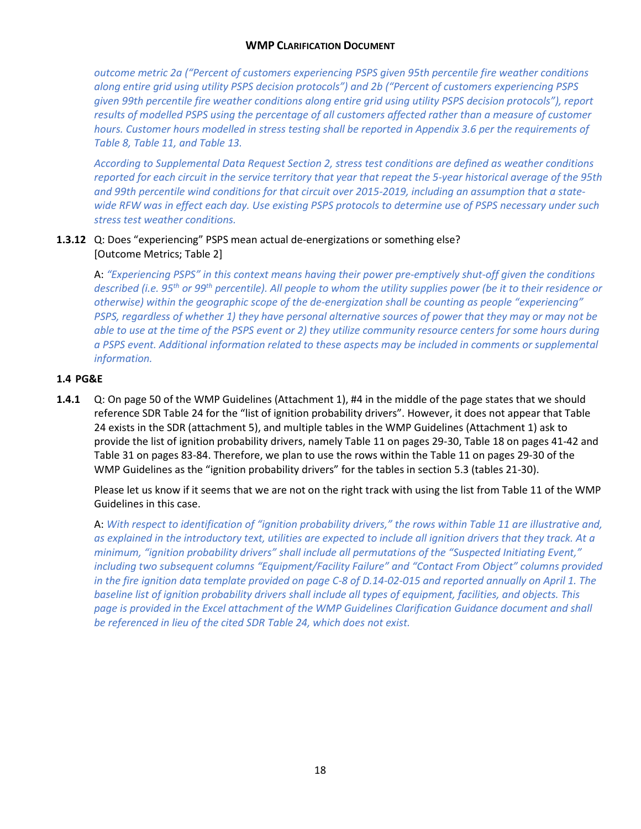*outcome metric 2a ("Percent of customers experiencing PSPS given 95th percentile fire weather conditions along entire grid using utility PSPS decision protocols") and 2b ("Percent of customers experiencing PSPS given 99th percentile fire weather conditions along entire grid using utility PSPS decision protocols"), report results of modelled PSPS using the percentage of all customers affected rather than a measure of customer hours. Customer hours modelled in stress testing shall be reported in Appendix 3.6 per the requirements of Table 8, Table 11, and Table 13.*

*According to Supplemental Data Request Section 2, stress test conditions are defined as weather conditions reported for each circuit in the service territory that year that repeat the 5-year historical average of the 95th and 99th percentile wind conditions for that circuit over 2015-2019, including an assumption that a statewide RFW was in effect each day. Use existing PSPS protocols to determine use of PSPS necessary under such stress test weather conditions.*

# **1.3.12** Q: Does "experiencing" PSPS mean actual de-energizations or something else? [Outcome Metrics; Table 2]

A: *"Experiencing PSPS" in this context means having their power pre-emptively shut-off given the conditions described (i.e. 95th or 99th percentile). All people to whom the utility supplies power (be it to their residence or otherwise) within the geographic scope of the de-energization shall be counting as people "experiencing" PSPS, regardless of whether 1) they have personal alternative sources of power that they may or may not be*  able to use at the time of the PSPS event or 2) they utilize community resource centers for some hours during *a PSPS event. Additional information related to these aspects may be included in comments or supplemental information.*

## **1.4 PG&E**

**1.4.1** Q: On page 50 of the WMP Guidelines (Attachment 1), #4 in the middle of the page states that we should reference SDR Table 24 for the "list of ignition probability drivers". However, it does not appear that Table 24 exists in the SDR (attachment 5), and multiple tables in the WMP Guidelines (Attachment 1) ask to provide the list of ignition probability drivers, namely Table 11 on pages 29-30, Table 18 on pages 41-42 and Table 31 on pages 83-84. Therefore, we plan to use the rows within the Table 11 on pages 29-30 of the WMP Guidelines as the "ignition probability drivers" for the tables in section 5.3 (tables 21-30).

Please let us know if it seems that we are not on the right track with using the list from Table 11 of the WMP Guidelines in this case.

A: *With respect to identification of "ignition probability drivers," the rows within Table 11 are illustrative and, as explained in the introductory text, utilities are expected to include all ignition drivers that they track. At a minimum, "ignition probability drivers" shall include all permutations of the "Suspected Initiating Event," including two subsequent columns "Equipment/Facility Failure" and "Contact From Object" columns provided in the fire ignition data template provided on page C-8 of D.14-02-015 and reported annually on April 1. The baseline list of ignition probability drivers shall include all types of equipment, facilities, and objects. This page is provided in the Excel attachment of the WMP Guidelines Clarification Guidance document and shall be referenced in lieu of the cited SDR Table 24, which does not exist.*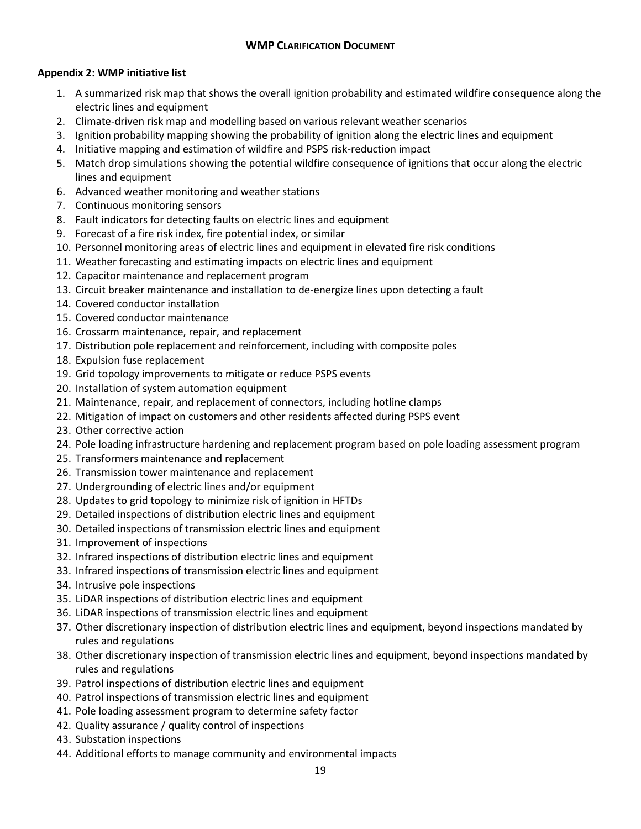## **Appendix 2: WMP initiative list**

- 1. A summarized risk map that shows the overall ignition probability and estimated wildfire consequence along the electric lines and equipment
- 2. Climate-driven risk map and modelling based on various relevant weather scenarios
- 3. Ignition probability mapping showing the probability of ignition along the electric lines and equipment
- 4. Initiative mapping and estimation of wildfire and PSPS risk-reduction impact
- 5. Match drop simulations showing the potential wildfire consequence of ignitions that occur along the electric lines and equipment
- 6. Advanced weather monitoring and weather stations
- 7. Continuous monitoring sensors
- 8. Fault indicators for detecting faults on electric lines and equipment
- 9. Forecast of a fire risk index, fire potential index, or similar
- 10. Personnel monitoring areas of electric lines and equipment in elevated fire risk conditions
- 11. Weather forecasting and estimating impacts on electric lines and equipment
- 12. Capacitor maintenance and replacement program
- 13. Circuit breaker maintenance and installation to de-energize lines upon detecting a fault
- 14. Covered conductor installation
- 15. Covered conductor maintenance
- 16. Crossarm maintenance, repair, and replacement
- 17. Distribution pole replacement and reinforcement, including with composite poles
- 18. Expulsion fuse replacement
- 19. Grid topology improvements to mitigate or reduce PSPS events
- 20. Installation of system automation equipment
- 21. Maintenance, repair, and replacement of connectors, including hotline clamps
- 22. Mitigation of impact on customers and other residents affected during PSPS event
- 23. Other corrective action
- 24. Pole loading infrastructure hardening and replacement program based on pole loading assessment program
- 25. Transformers maintenance and replacement
- 26. Transmission tower maintenance and replacement
- 27. Undergrounding of electric lines and/or equipment
- 28. Updates to grid topology to minimize risk of ignition in HFTDs
- 29. Detailed inspections of distribution electric lines and equipment
- 30. Detailed inspections of transmission electric lines and equipment
- 31. Improvement of inspections
- 32. Infrared inspections of distribution electric lines and equipment
- 33. Infrared inspections of transmission electric lines and equipment
- 34. Intrusive pole inspections
- 35. LiDAR inspections of distribution electric lines and equipment
- 36. LiDAR inspections of transmission electric lines and equipment
- 37. Other discretionary inspection of distribution electric lines and equipment, beyond inspections mandated by rules and regulations
- 38. Other discretionary inspection of transmission electric lines and equipment, beyond inspections mandated by rules and regulations
- 39. Patrol inspections of distribution electric lines and equipment
- 40. Patrol inspections of transmission electric lines and equipment
- 41. Pole loading assessment program to determine safety factor
- 42. Quality assurance / quality control of inspections
- 43. Substation inspections
- 44. Additional efforts to manage community and environmental impacts